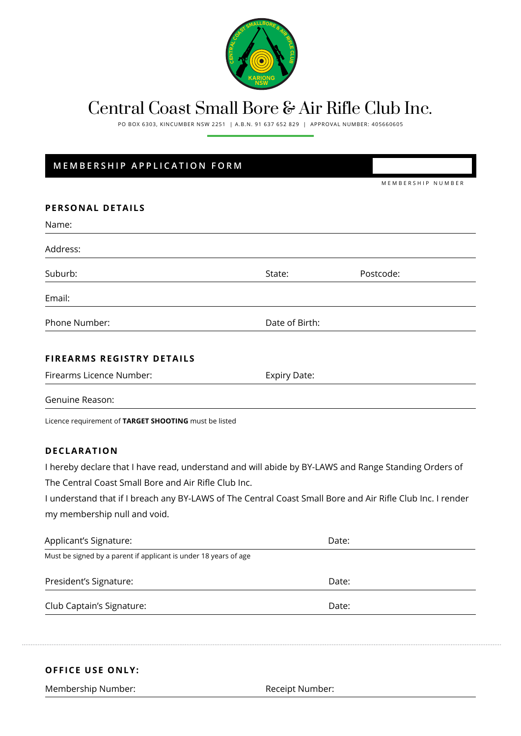

## Central Coast Small Bore & Air Rifle Club Inc.

PO BOX 6303, KINCUMBER NSW 2251 | A.B.N. 91 637 652 829 | APPROVAL NUMBER: 405660605

## **MEMBERSHIP APPLICATION FORM**

| Name:                                                                                                      |                     |                |  |  |
|------------------------------------------------------------------------------------------------------------|---------------------|----------------|--|--|
| Address:                                                                                                   |                     |                |  |  |
| Suburb:                                                                                                    | State:              | Postcode:      |  |  |
| Email:                                                                                                     |                     |                |  |  |
| Phone Number:                                                                                              |                     | Date of Birth: |  |  |
| <b>FIREARMS REGISTRY DETAILS</b>                                                                           |                     |                |  |  |
| Firearms Licence Number:                                                                                   | <b>Expiry Date:</b> |                |  |  |
| Genuine Reason:                                                                                            |                     |                |  |  |
| Licence requirement of TARGET SHOOTING must be listed                                                      |                     |                |  |  |
| <b>DECLARATION</b>                                                                                         |                     |                |  |  |
| I hereby declare that I have read, understand and will abide by BY-LAWS and Range Standing Orders of       |                     |                |  |  |
| The Central Coast Small Bore and Air Rifle Club Inc.                                                       |                     |                |  |  |
| I understand that if I breach any BY-LAWS of The Central Coast Small Bore and Air Rifle Club Inc. I render |                     |                |  |  |
| my membership null and void.                                                                               |                     |                |  |  |
| Applicant's Signature:                                                                                     |                     | Date:          |  |  |
| Must be signed by a parent if applicant is under 18 years of age                                           |                     |                |  |  |
| President's Signature:                                                                                     |                     | Date:          |  |  |
| Club Captain's Signature:                                                                                  |                     | Date:          |  |  |

## **OFFICE USE ONLY:**

Membership Number: The Controller of the Receipt Number: